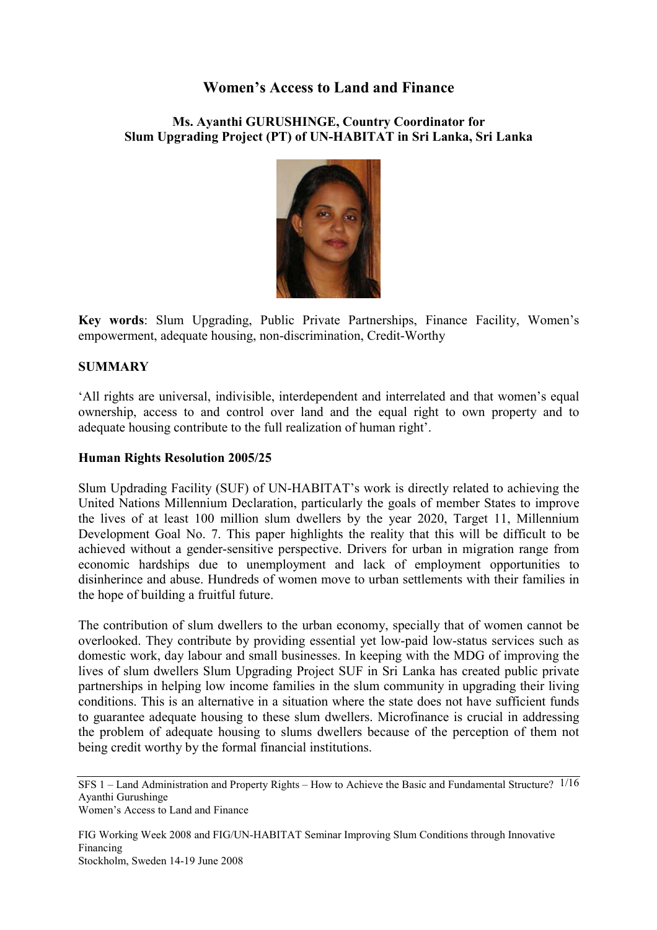# **Women's Access to Land and Finance**

**Ms. Ayanthi GURUSHINGE, Country Coordinator for Slum Upgrading Project (PT) of UN-HABITAT in Sri Lanka, Sri Lanka** 



**Key words**: Slum Upgrading, Public Private Partnerships, Finance Facility, Women's empowerment, adequate housing, non-discrimination, Credit-Worthy

### **SUMMARY**

'All rights are universal, indivisible, interdependent and interrelated and that women's equal ownership, access to and control over land and the equal right to own property and to adequate housing contribute to the full realization of human right'.

#### **Human Rights Resolution 2005/25**

Slum Updrading Facility (SUF) of UN-HABITAT's work is directly related to achieving the United Nations Millennium Declaration, particularly the goals of member States to improve the lives of at least 100 million slum dwellers by the year 2020, Target 11, Millennium Development Goal No. 7. This paper highlights the reality that this will be difficult to be achieved without a gender-sensitive perspective. Drivers for urban in migration range from economic hardships due to unemployment and lack of employment opportunities to disinherince and abuse. Hundreds of women move to urban settlements with their families in the hope of building a fruitful future.

The contribution of slum dwellers to the urban economy, specially that of women cannot be overlooked. They contribute by providing essential yet low-paid low-status services such as domestic work, day labour and small businesses. In keeping with the MDG of improving the lives of slum dwellers Slum Upgrading Project SUF in Sri Lanka has created public private partnerships in helping low income families in the slum community in upgrading their living conditions. This is an alternative in a situation where the state does not have sufficient funds to guarantee adequate housing to these slum dwellers. Microfinance is crucial in addressing the problem of adequate housing to slums dwellers because of the perception of them not being credit worthy by the formal financial institutions.

SFS 1 – Land Administration and Property Rights – How to Achieve the Basic and Fundamental Structure? 1/16 Ayanthi Gurushinge Women's Access to Land and Finance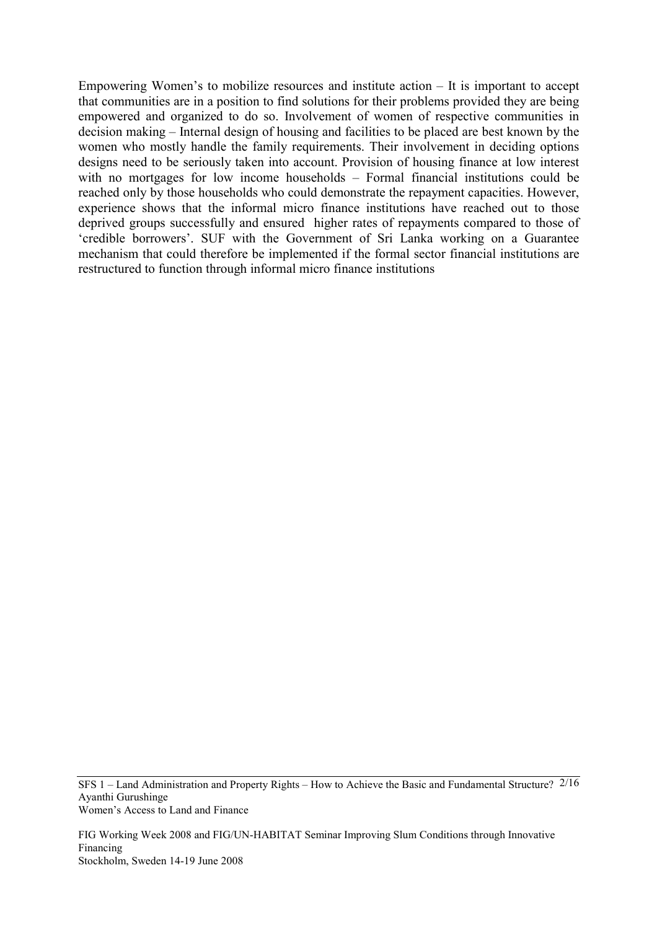Empowering Women's to mobilize resources and institute action – It is important to accept that communities are in a position to find solutions for their problems provided they are being empowered and organized to do so. Involvement of women of respective communities in decision making – Internal design of housing and facilities to be placed are best known by the women who mostly handle the family requirements. Their involvement in deciding options designs need to be seriously taken into account. Provision of housing finance at low interest with no mortgages for low income households – Formal financial institutions could be reached only by those households who could demonstrate the repayment capacities. However, experience shows that the informal micro finance institutions have reached out to those deprived groups successfully and ensured higher rates of repayments compared to those of 'credible borrowers'. SUF with the Government of Sri Lanka working on a Guarantee mechanism that could therefore be implemented if the formal sector financial institutions are restructured to function through informal micro finance institutions

SFS 1 – Land Administration and Property Rights – How to Achieve the Basic and Fundamental Structure? 2/16 Ayanthi Gurushinge Women's Access to Land and Finance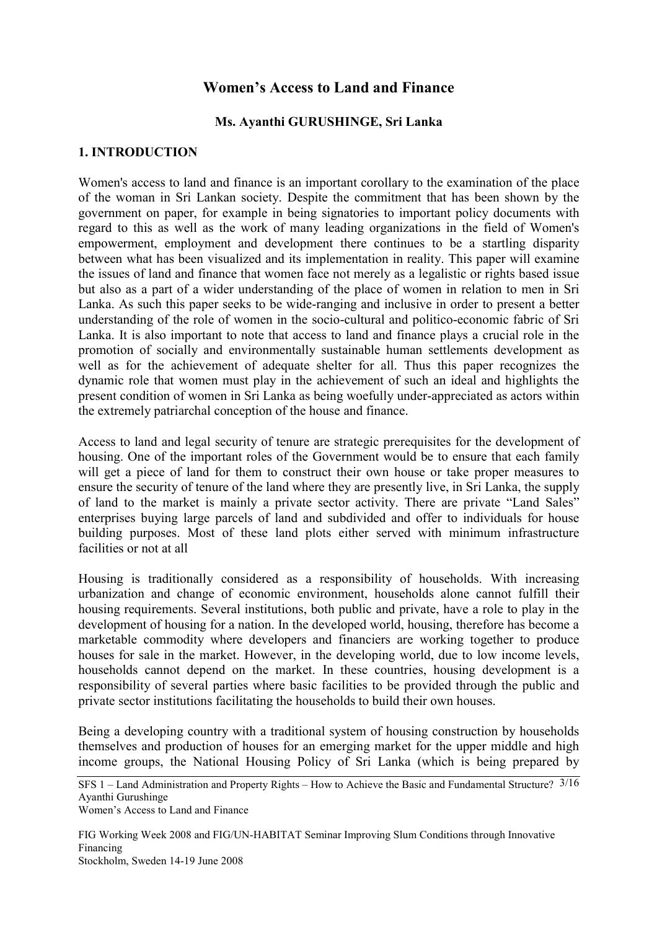# **Women's Access to Land and Finance**

### **Ms. Ayanthi GURUSHINGE, Sri Lanka**

#### **1. INTRODUCTION**

Women's access to land and finance is an important corollary to the examination of the place of the woman in Sri Lankan society. Despite the commitment that has been shown by the government on paper, for example in being signatories to important policy documents with regard to this as well as the work of many leading organizations in the field of Women's empowerment, employment and development there continues to be a startling disparity between what has been visualized and its implementation in reality. This paper will examine the issues of land and finance that women face not merely as a legalistic or rights based issue but also as a part of a wider understanding of the place of women in relation to men in Sri Lanka. As such this paper seeks to be wide-ranging and inclusive in order to present a better understanding of the role of women in the socio-cultural and politico-economic fabric of Sri Lanka. It is also important to note that access to land and finance plays a crucial role in the promotion of socially and environmentally sustainable human settlements development as well as for the achievement of adequate shelter for all. Thus this paper recognizes the dynamic role that women must play in the achievement of such an ideal and highlights the present condition of women in Sri Lanka as being woefully under-appreciated as actors within the extremely patriarchal conception of the house and finance.

Access to land and legal security of tenure are strategic prerequisites for the development of housing. One of the important roles of the Government would be to ensure that each family will get a piece of land for them to construct their own house or take proper measures to ensure the security of tenure of the land where they are presently live, in Sri Lanka, the supply of land to the market is mainly a private sector activity. There are private "Land Sales" enterprises buying large parcels of land and subdivided and offer to individuals for house building purposes. Most of these land plots either served with minimum infrastructure facilities or not at all

Housing is traditionally considered as a responsibility of households. With increasing urbanization and change of economic environment, households alone cannot fulfill their housing requirements. Several institutions, both public and private, have a role to play in the development of housing for a nation. In the developed world, housing, therefore has become a marketable commodity where developers and financiers are working together to produce houses for sale in the market. However, in the developing world, due to low income levels, households cannot depend on the market. In these countries, housing development is a responsibility of several parties where basic facilities to be provided through the public and private sector institutions facilitating the households to build their own houses.

Being a developing country with a traditional system of housing construction by households themselves and production of houses for an emerging market for the upper middle and high income groups, the National Housing Policy of Sri Lanka (which is being prepared by

SFS 1 – Land Administration and Property Rights – How to Achieve the Basic and Fundamental Structure? 3/16 Ayanthi Gurushinge

Women's Access to Land and Finance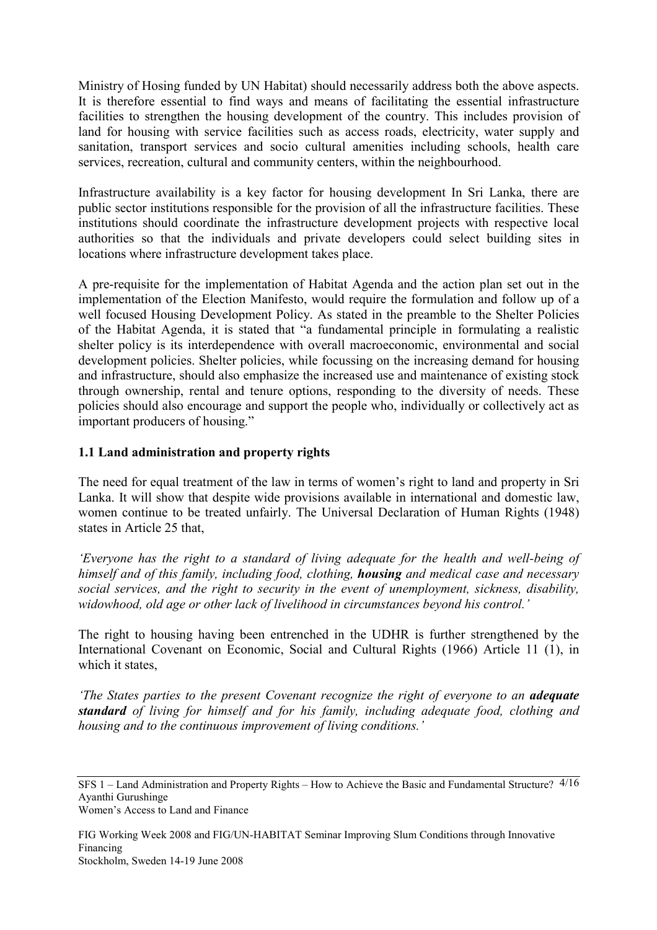Ministry of Hosing funded by UN Habitat) should necessarily address both the above aspects. It is therefore essential to find ways and means of facilitating the essential infrastructure facilities to strengthen the housing development of the country. This includes provision of land for housing with service facilities such as access roads, electricity, water supply and sanitation, transport services and socio cultural amenities including schools, health care services, recreation, cultural and community centers, within the neighbourhood.

Infrastructure availability is a key factor for housing development In Sri Lanka, there are public sector institutions responsible for the provision of all the infrastructure facilities. These institutions should coordinate the infrastructure development projects with respective local authorities so that the individuals and private developers could select building sites in locations where infrastructure development takes place.

A pre-requisite for the implementation of Habitat Agenda and the action plan set out in the implementation of the Election Manifesto, would require the formulation and follow up of a well focused Housing Development Policy. As stated in the preamble to the Shelter Policies of the Habitat Agenda, it is stated that "a fundamental principle in formulating a realistic shelter policy is its interdependence with overall macroeconomic, environmental and social development policies. Shelter policies, while focussing on the increasing demand for housing and infrastructure, should also emphasize the increased use and maintenance of existing stock through ownership, rental and tenure options, responding to the diversity of needs. These policies should also encourage and support the people who, individually or collectively act as important producers of housing."

## **1.1 Land administration and property rights**

The need for equal treatment of the law in terms of women's right to land and property in Sri Lanka. It will show that despite wide provisions available in international and domestic law, women continue to be treated unfairly. The Universal Declaration of Human Rights (1948) states in Article 25 that,

*'Everyone has the right to a standard of living adequate for the health and well-being of himself and of this family, including food, clothing, housing and medical case and necessary social services, and the right to security in the event of unemployment, sickness, disability, widowhood, old age or other lack of livelihood in circumstances beyond his control.'* 

The right to housing having been entrenched in the UDHR is further strengthened by the International Covenant on Economic, Social and Cultural Rights (1966) Article 11 (1), in which it states,

*'The States parties to the present Covenant recognize the right of everyone to an adequate standard of living for himself and for his family, including adequate food, clothing and housing and to the continuous improvement of living conditions.'*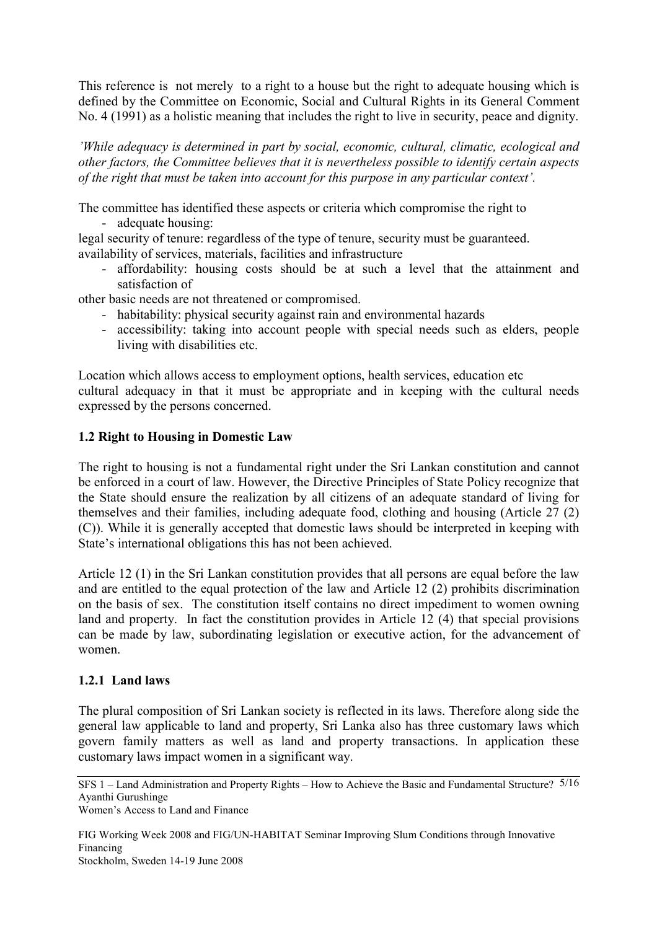This reference is not merely to a right to a house but the right to adequate housing which is defined by the Committee on Economic, Social and Cultural Rights in its General Comment No. 4 (1991) as a holistic meaning that includes the right to live in security, peace and dignity.

*'While adequacy is determined in part by social, economic, cultural, climatic, ecological and other factors, the Committee believes that it is nevertheless possible to identify certain aspects of the right that must be taken into account for this purpose in any particular context'.* 

The committee has identified these aspects or criteria which compromise the right to

- adequate housing:

legal security of tenure: regardless of the type of tenure, security must be guaranteed. availability of services, materials, facilities and infrastructure

- affordability: housing costs should be at such a level that the attainment and satisfaction of

other basic needs are not threatened or compromised.

- habitability: physical security against rain and environmental hazards
- accessibility: taking into account people with special needs such as elders, people living with disabilities etc.

Location which allows access to employment options, health services, education etc cultural adequacy in that it must be appropriate and in keeping with the cultural needs expressed by the persons concerned.

# **1.2 Right to Housing in Domestic Law**

The right to housing is not a fundamental right under the Sri Lankan constitution and cannot be enforced in a court of law. However, the Directive Principles of State Policy recognize that the State should ensure the realization by all citizens of an adequate standard of living for themselves and their families, including adequate food, clothing and housing (Article 27 (2) (C)). While it is generally accepted that domestic laws should be interpreted in keeping with State's international obligations this has not been achieved.

Article 12 (1) in the Sri Lankan constitution provides that all persons are equal before the law and are entitled to the equal protection of the law and Article 12 (2) prohibits discrimination on the basis of sex. The constitution itself contains no direct impediment to women owning land and property. In fact the constitution provides in Article 12 (4) that special provisions can be made by law, subordinating legislation or executive action, for the advancement of women.

# **1.2.1 Land laws**

The plural composition of Sri Lankan society is reflected in its laws. Therefore along side the general law applicable to land and property, Sri Lanka also has three customary laws which govern family matters as well as land and property transactions. In application these customary laws impact women in a significant way.

SFS 1 – Land Administration and Property Rights – How to Achieve the Basic and Fundamental Structure? 5/16 Ayanthi Gurushinge

Women's Access to Land and Finance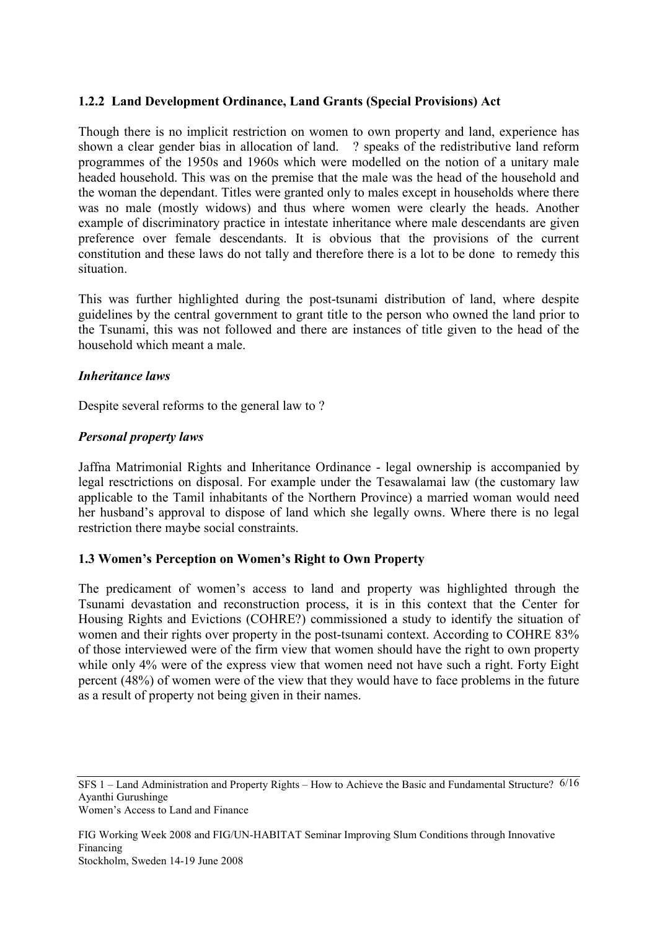## **1.2.2 Land Development Ordinance, Land Grants (Special Provisions) Act**

Though there is no implicit restriction on women to own property and land, experience has shown a clear gender bias in allocation of land. ? speaks of the redistributive land reform programmes of the 1950s and 1960s which were modelled on the notion of a unitary male headed household. This was on the premise that the male was the head of the household and the woman the dependant. Titles were granted only to males except in households where there was no male (mostly widows) and thus where women were clearly the heads. Another example of discriminatory practice in intestate inheritance where male descendants are given preference over female descendants. It is obvious that the provisions of the current constitution and these laws do not tally and therefore there is a lot to be done to remedy this situation.

This was further highlighted during the post-tsunami distribution of land, where despite guidelines by the central government to grant title to the person who owned the land prior to the Tsunami, this was not followed and there are instances of title given to the head of the household which meant a male.

### *Inheritance laws*

Despite several reforms to the general law to ?

### *Personal property laws*

Jaffna Matrimonial Rights and Inheritance Ordinance - legal ownership is accompanied by legal resctrictions on disposal. For example under the Tesawalamai law (the customary law applicable to the Tamil inhabitants of the Northern Province) a married woman would need her husband's approval to dispose of land which she legally owns. Where there is no legal restriction there maybe social constraints.

## **1.3 Women's Perception on Women's Right to Own Property**

The predicament of women's access to land and property was highlighted through the Tsunami devastation and reconstruction process, it is in this context that the Center for Housing Rights and Evictions (COHRE?) commissioned a study to identify the situation of women and their rights over property in the post-tsunami context. According to COHRE 83% of those interviewed were of the firm view that women should have the right to own property while only 4% were of the express view that women need not have such a right. Forty Eight percent (48%) of women were of the view that they would have to face problems in the future as a result of property not being given in their names.

SFS 1 – Land Administration and Property Rights – How to Achieve the Basic and Fundamental Structure? 6/16 Ayanthi Gurushinge Women's Access to Land and Finance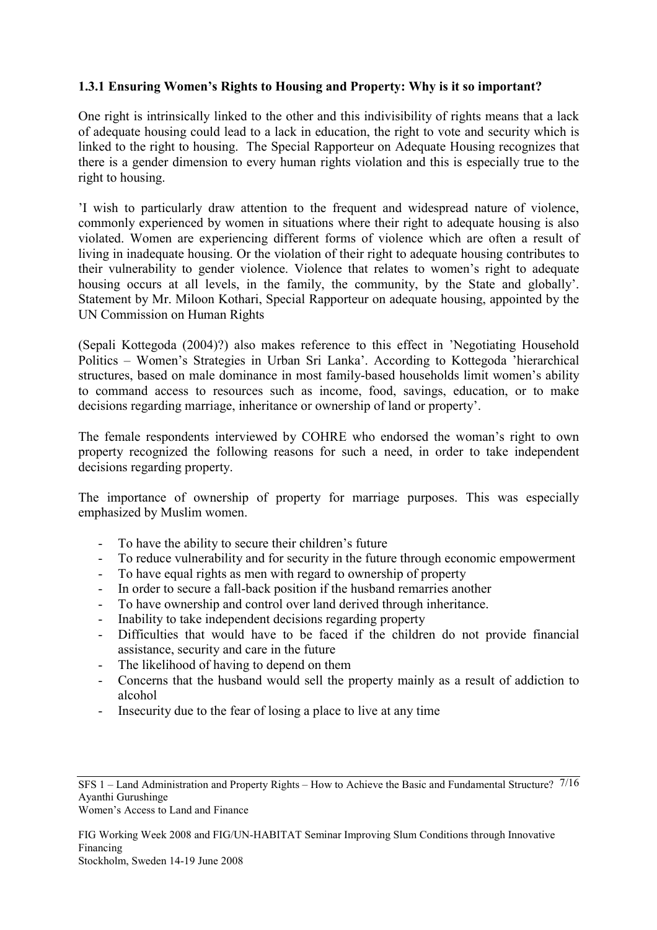## **1.3.1 Ensuring Women's Rights to Housing and Property: Why is it so important?**

One right is intrinsically linked to the other and this indivisibility of rights means that a lack of adequate housing could lead to a lack in education, the right to vote and security which is linked to the right to housing. The Special Rapporteur on Adequate Housing recognizes that there is a gender dimension to every human rights violation and this is especially true to the right to housing.

'I wish to particularly draw attention to the frequent and widespread nature of violence, commonly experienced by women in situations where their right to adequate housing is also violated. Women are experiencing different forms of violence which are often a result of living in inadequate housing. Or the violation of their right to adequate housing contributes to their vulnerability to gender violence. Violence that relates to women's right to adequate housing occurs at all levels, in the family, the community, by the State and globally'. Statement by Mr. Miloon Kothari, Special Rapporteur on adequate housing, appointed by the UN Commission on Human Rights

(Sepali Kottegoda (2004)?) also makes reference to this effect in 'Negotiating Household Politics – Women's Strategies in Urban Sri Lanka'. According to Kottegoda 'hierarchical structures, based on male dominance in most family-based households limit women's ability to command access to resources such as income, food, savings, education, or to make decisions regarding marriage, inheritance or ownership of land or property'.

The female respondents interviewed by COHRE who endorsed the woman's right to own property recognized the following reasons for such a need, in order to take independent decisions regarding property.

The importance of ownership of property for marriage purposes. This was especially emphasized by Muslim women.

- To have the ability to secure their children's future
- To reduce vulnerability and for security in the future through economic empowerment
- To have equal rights as men with regard to ownership of property<br>- In order to secure a fall-back position if the husband remarries and
- In order to secure a fall-back position if the husband remarries another
- To have ownership and control over land derived through inheritance.
- Inability to take independent decisions regarding property
- Difficulties that would have to be faced if the children do not provide financial assistance, security and care in the future
- The likelihood of having to depend on them
- Concerns that the husband would sell the property mainly as a result of addiction to alcohol
- Insecurity due to the fear of losing a place to live at any time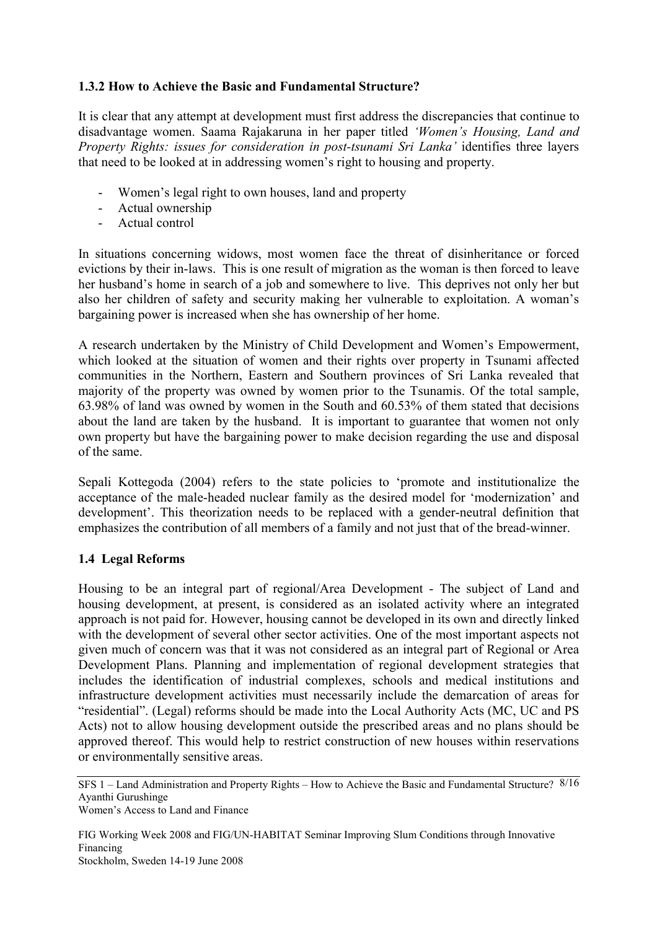# **1.3.2 How to Achieve the Basic and Fundamental Structure?**

It is clear that any attempt at development must first address the discrepancies that continue to disadvantage women. Saama Rajakaruna in her paper titled *'Women's Housing, Land and Property Rights: issues for consideration in post-tsunami Sri Lanka'* identifies three layers that need to be looked at in addressing women's right to housing and property.

- Women's legal right to own houses, land and property
- Actual ownership
- Actual control

In situations concerning widows, most women face the threat of disinheritance or forced evictions by their in-laws. This is one result of migration as the woman is then forced to leave her husband's home in search of a job and somewhere to live. This deprives not only her but also her children of safety and security making her vulnerable to exploitation. A woman's bargaining power is increased when she has ownership of her home.

A research undertaken by the Ministry of Child Development and Women's Empowerment, which looked at the situation of women and their rights over property in Tsunami affected communities in the Northern, Eastern and Southern provinces of Sri Lanka revealed that majority of the property was owned by women prior to the Tsunamis. Of the total sample, 63.98% of land was owned by women in the South and 60.53% of them stated that decisions about the land are taken by the husband. It is important to guarantee that women not only own property but have the bargaining power to make decision regarding the use and disposal of the same.

Sepali Kottegoda (2004) refers to the state policies to 'promote and institutionalize the acceptance of the male-headed nuclear family as the desired model for 'modernization' and development'. This theorization needs to be replaced with a gender-neutral definition that emphasizes the contribution of all members of a family and not just that of the bread-winner.

## **1.4 Legal Reforms**

Housing to be an integral part of regional/Area Development - The subject of Land and housing development, at present, is considered as an isolated activity where an integrated approach is not paid for. However, housing cannot be developed in its own and directly linked with the development of several other sector activities. One of the most important aspects not given much of concern was that it was not considered as an integral part of Regional or Area Development Plans. Planning and implementation of regional development strategies that includes the identification of industrial complexes, schools and medical institutions and infrastructure development activities must necessarily include the demarcation of areas for "residential". (Legal) reforms should be made into the Local Authority Acts (MC, UC and PS Acts) not to allow housing development outside the prescribed areas and no plans should be approved thereof. This would help to restrict construction of new houses within reservations or environmentally sensitive areas.

SFS 1 – Land Administration and Property Rights – How to Achieve the Basic and Fundamental Structure? 8/16 Ayanthi Gurushinge Women's Access to Land and Finance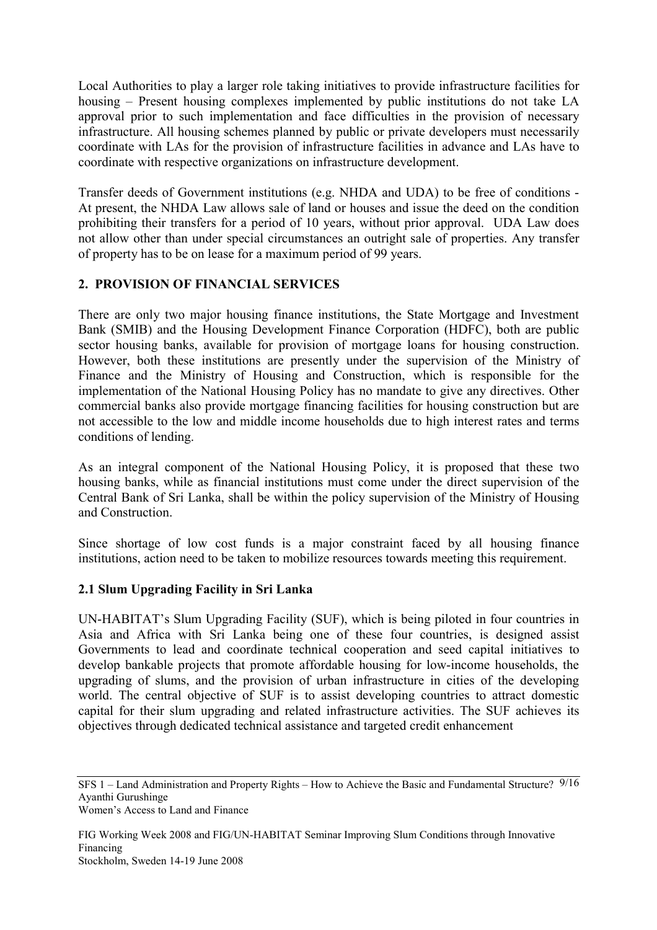Local Authorities to play a larger role taking initiatives to provide infrastructure facilities for housing – Present housing complexes implemented by public institutions do not take LA approval prior to such implementation and face difficulties in the provision of necessary infrastructure. All housing schemes planned by public or private developers must necessarily coordinate with LAs for the provision of infrastructure facilities in advance and LAs have to coordinate with respective organizations on infrastructure development.

Transfer deeds of Government institutions (e.g. NHDA and UDA) to be free of conditions - At present, the NHDA Law allows sale of land or houses and issue the deed on the condition prohibiting their transfers for a period of 10 years, without prior approval. UDA Law does not allow other than under special circumstances an outright sale of properties. Any transfer of property has to be on lease for a maximum period of 99 years.

# **2. PROVISION OF FINANCIAL SERVICES**

There are only two major housing finance institutions, the State Mortgage and Investment Bank (SMIB) and the Housing Development Finance Corporation (HDFC), both are public sector housing banks, available for provision of mortgage loans for housing construction. However, both these institutions are presently under the supervision of the Ministry of Finance and the Ministry of Housing and Construction, which is responsible for the implementation of the National Housing Policy has no mandate to give any directives. Other commercial banks also provide mortgage financing facilities for housing construction but are not accessible to the low and middle income households due to high interest rates and terms conditions of lending.

As an integral component of the National Housing Policy, it is proposed that these two housing banks, while as financial institutions must come under the direct supervision of the Central Bank of Sri Lanka, shall be within the policy supervision of the Ministry of Housing and Construction.

Since shortage of low cost funds is a major constraint faced by all housing finance institutions, action need to be taken to mobilize resources towards meeting this requirement.

## **2.1 Slum Upgrading Facility in Sri Lanka**

UN-HABITAT's Slum Upgrading Facility (SUF), which is being piloted in four countries in Asia and Africa with Sri Lanka being one of these four countries, is designed assist Governments to lead and coordinate technical cooperation and seed capital initiatives to develop bankable projects that promote affordable housing for low-income households, the upgrading of slums, and the provision of urban infrastructure in cities of the developing world. The central objective of SUF is to assist developing countries to attract domestic capital for their slum upgrading and related infrastructure activities. The SUF achieves its objectives through dedicated technical assistance and targeted credit enhancement

SFS 1 – Land Administration and Property Rights – How to Achieve the Basic and Fundamental Structure? 9/16 Ayanthi Gurushinge Women's Access to Land and Finance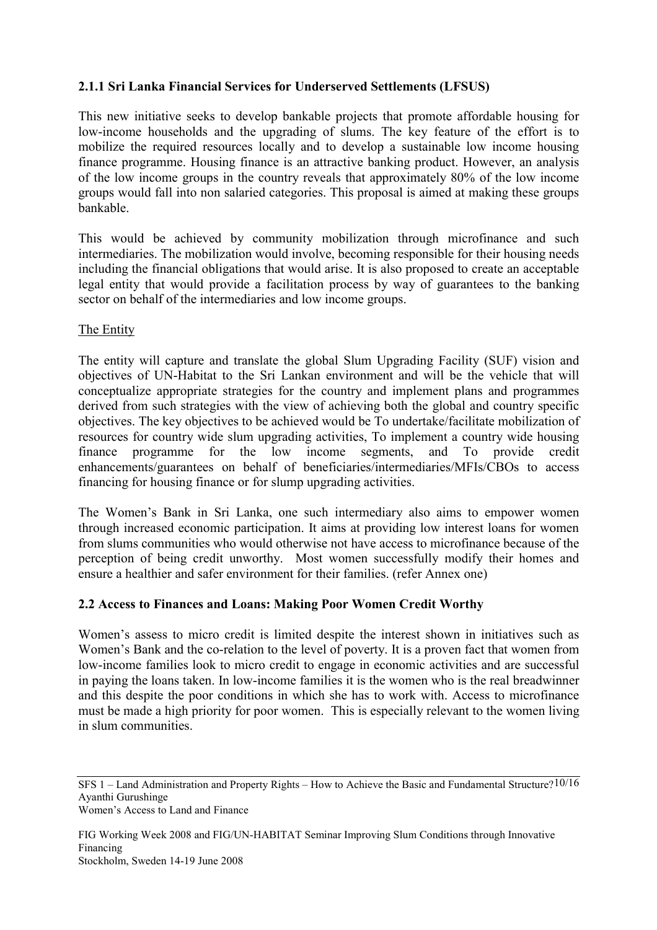## **2.1.1 Sri Lanka Financial Services for Underserved Settlements (LFSUS)**

This new initiative seeks to develop bankable projects that promote affordable housing for low-income households and the upgrading of slums. The key feature of the effort is to mobilize the required resources locally and to develop a sustainable low income housing finance programme. Housing finance is an attractive banking product. However, an analysis of the low income groups in the country reveals that approximately 80% of the low income groups would fall into non salaried categories. This proposal is aimed at making these groups bankable.

This would be achieved by community mobilization through microfinance and such intermediaries. The mobilization would involve, becoming responsible for their housing needs including the financial obligations that would arise. It is also proposed to create an acceptable legal entity that would provide a facilitation process by way of guarantees to the banking sector on behalf of the intermediaries and low income groups.

### The Entity

The entity will capture and translate the global Slum Upgrading Facility (SUF) vision and objectives of UN-Habitat to the Sri Lankan environment and will be the vehicle that will conceptualize appropriate strategies for the country and implement plans and programmes derived from such strategies with the view of achieving both the global and country specific objectives. The key objectives to be achieved would be To undertake/facilitate mobilization of resources for country wide slum upgrading activities, To implement a country wide housing finance programme for the low income segments, and To provide credit enhancements/guarantees on behalf of beneficiaries/intermediaries/MFIs/CBOs to access financing for housing finance or for slump upgrading activities.

The Women's Bank in Sri Lanka, one such intermediary also aims to empower women through increased economic participation. It aims at providing low interest loans for women from slums communities who would otherwise not have access to microfinance because of the perception of being credit unworthy. Most women successfully modify their homes and ensure a healthier and safer environment for their families. (refer Annex one)

## **2.2 Access to Finances and Loans: Making Poor Women Credit Worthy**

Women's assess to micro credit is limited despite the interest shown in initiatives such as Women's Bank and the co-relation to the level of poverty. It is a proven fact that women from low-income families look to micro credit to engage in economic activities and are successful in paying the loans taken. In low-income families it is the women who is the real breadwinner and this despite the poor conditions in which she has to work with. Access to microfinance must be made a high priority for poor women. This is especially relevant to the women living in slum communities.

SFS 1 – Land Administration and Property Rights – How to Achieve the Basic and Fundamental Structure? 10/16 Ayanthi Gurushinge Women's Access to Land and Finance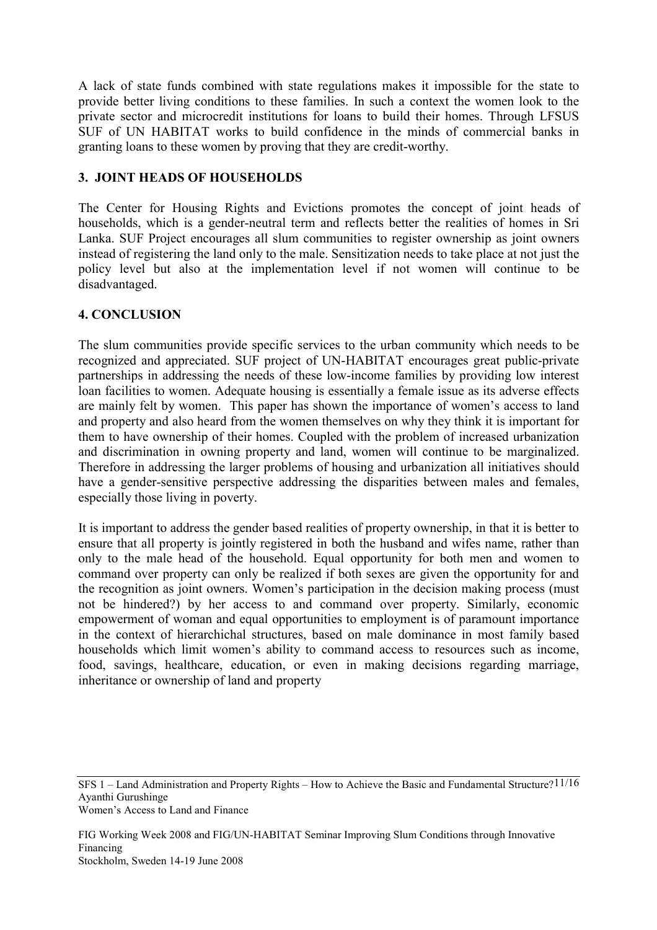A lack of state funds combined with state regulations makes it impossible for the state to provide better living conditions to these families. In such a context the women look to the private sector and microcredit institutions for loans to build their homes. Through LFSUS SUF of UN HABITAT works to build confidence in the minds of commercial banks in granting loans to these women by proving that they are credit-worthy.

## **3. JOINT HEADS OF HOUSEHOLDS**

The Center for Housing Rights and Evictions promotes the concept of joint heads of households, which is a gender-neutral term and reflects better the realities of homes in Sri Lanka. SUF Project encourages all slum communities to register ownership as joint owners instead of registering the land only to the male. Sensitization needs to take place at not just the policy level but also at the implementation level if not women will continue to be disadvantaged.

## **4. CONCLUSION**

The slum communities provide specific services to the urban community which needs to be recognized and appreciated. SUF project of UN-HABITAT encourages great public-private partnerships in addressing the needs of these low-income families by providing low interest loan facilities to women. Adequate housing is essentially a female issue as its adverse effects are mainly felt by women. This paper has shown the importance of women's access to land and property and also heard from the women themselves on why they think it is important for them to have ownership of their homes. Coupled with the problem of increased urbanization and discrimination in owning property and land, women will continue to be marginalized. Therefore in addressing the larger problems of housing and urbanization all initiatives should have a gender-sensitive perspective addressing the disparities between males and females, especially those living in poverty.

It is important to address the gender based realities of property ownership, in that it is better to ensure that all property is jointly registered in both the husband and wifes name, rather than only to the male head of the household. Equal opportunity for both men and women to command over property can only be realized if both sexes are given the opportunity for and the recognition as joint owners. Women's participation in the decision making process (must not be hindered?) by her access to and command over property. Similarly, economic empowerment of woman and equal opportunities to employment is of paramount importance in the context of hierarchichal structures, based on male dominance in most family based households which limit women's ability to command access to resources such as income, food, savings, healthcare, education, or even in making decisions regarding marriage, inheritance or ownership of land and property

SFS 1 – Land Administration and Property Rights – How to Achieve the Basic and Fundamental Structure? 11/16 Ayanthi Gurushinge Women's Access to Land and Finance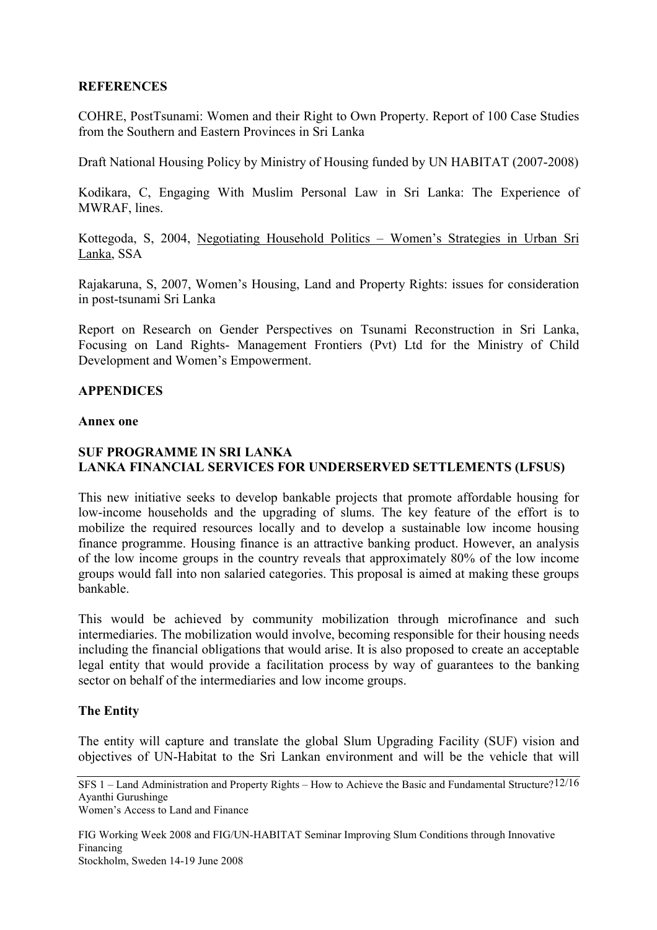### **REFERENCES**

COHRE, PostTsunami: Women and their Right to Own Property. Report of 100 Case Studies from the Southern and Eastern Provinces in Sri Lanka

Draft National Housing Policy by Ministry of Housing funded by UN HABITAT (2007-2008)

Kodikara, C, Engaging With Muslim Personal Law in Sri Lanka: The Experience of MWRAF, lines.

Kottegoda, S, 2004, Negotiating Household Politics – Women's Strategies in Urban Sri Lanka, SSA

Rajakaruna, S, 2007, Women's Housing, Land and Property Rights: issues for consideration in post-tsunami Sri Lanka

Report on Research on Gender Perspectives on Tsunami Reconstruction in Sri Lanka, Focusing on Land Rights- Management Frontiers (Pvt) Ltd for the Ministry of Child Development and Women's Empowerment.

#### **APPENDICES**

#### **Annex one**

### **SUF PROGRAMME IN SRI LANKA LANKA FINANCIAL SERVICES FOR UNDERSERVED SETTLEMENTS (LFSUS)**

This new initiative seeks to develop bankable projects that promote affordable housing for low-income households and the upgrading of slums. The key feature of the effort is to mobilize the required resources locally and to develop a sustainable low income housing finance programme. Housing finance is an attractive banking product. However, an analysis of the low income groups in the country reveals that approximately 80% of the low income groups would fall into non salaried categories. This proposal is aimed at making these groups bankable.

This would be achieved by community mobilization through microfinance and such intermediaries. The mobilization would involve, becoming responsible for their housing needs including the financial obligations that would arise. It is also proposed to create an acceptable legal entity that would provide a facilitation process by way of guarantees to the banking sector on behalf of the intermediaries and low income groups.

## **The Entity**

The entity will capture and translate the global Slum Upgrading Facility (SUF) vision and objectives of UN-Habitat to the Sri Lankan environment and will be the vehicle that will

SFS 1 – Land Administration and Property Rights – How to Achieve the Basic and Fundamental Structure? 12/16 Ayanthi Gurushinge Women's Access to Land and Finance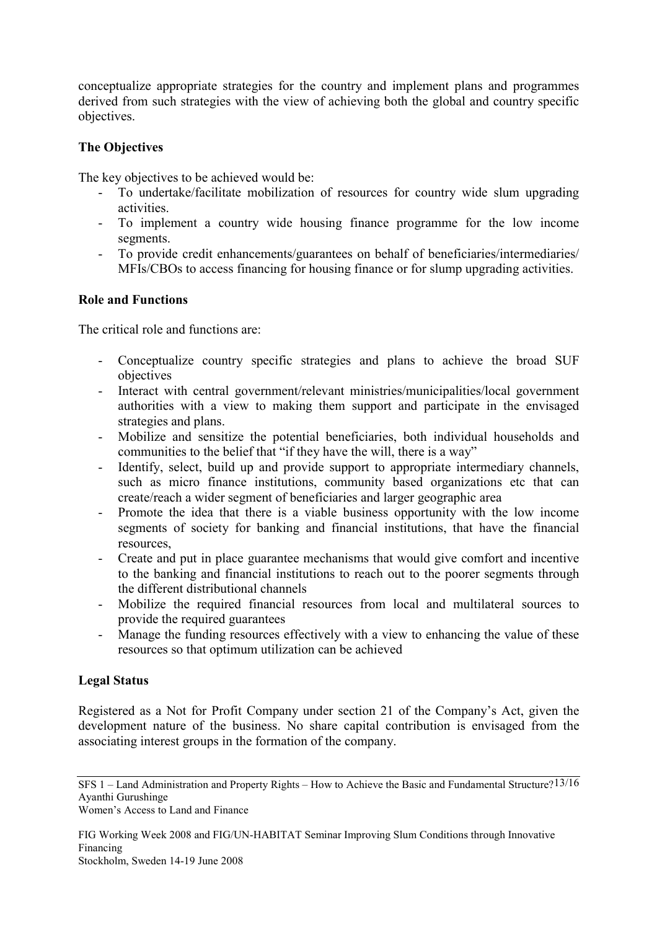conceptualize appropriate strategies for the country and implement plans and programmes derived from such strategies with the view of achieving both the global and country specific objectives.

## **The Objectives**

The key objectives to be achieved would be:

- To undertake/facilitate mobilization of resources for country wide slum upgrading activities.
- To implement a country wide housing finance programme for the low income segments.
- To provide credit enhancements/guarantees on behalf of beneficiaries/intermediaries/ MFIs/CBOs to access financing for housing finance or for slump upgrading activities.

### **Role and Functions**

The critical role and functions are:

- Conceptualize country specific strategies and plans to achieve the broad SUF objectives
- Interact with central government/relevant ministries/municipalities/local government authorities with a view to making them support and participate in the envisaged strategies and plans.
- Mobilize and sensitize the potential beneficiaries, both individual households and communities to the belief that "if they have the will, there is a way"
- Identify, select, build up and provide support to appropriate intermediary channels, such as micro finance institutions, community based organizations etc that can create/reach a wider segment of beneficiaries and larger geographic area
- Promote the idea that there is a viable business opportunity with the low income segments of society for banking and financial institutions, that have the financial resources,
- Create and put in place guarantee mechanisms that would give comfort and incentive to the banking and financial institutions to reach out to the poorer segments through the different distributional channels
- Mobilize the required financial resources from local and multilateral sources to provide the required guarantees
- Manage the funding resources effectively with a view to enhancing the value of these resources so that optimum utilization can be achieved

## **Legal Status**

Registered as a Not for Profit Company under section 21 of the Company's Act, given the development nature of the business. No share capital contribution is envisaged from the associating interest groups in the formation of the company.

SFS 1 – Land Administration and Property Rights – How to Achieve the Basic and Fundamental Structure? 13/16 Ayanthi Gurushinge

Women's Access to Land and Finance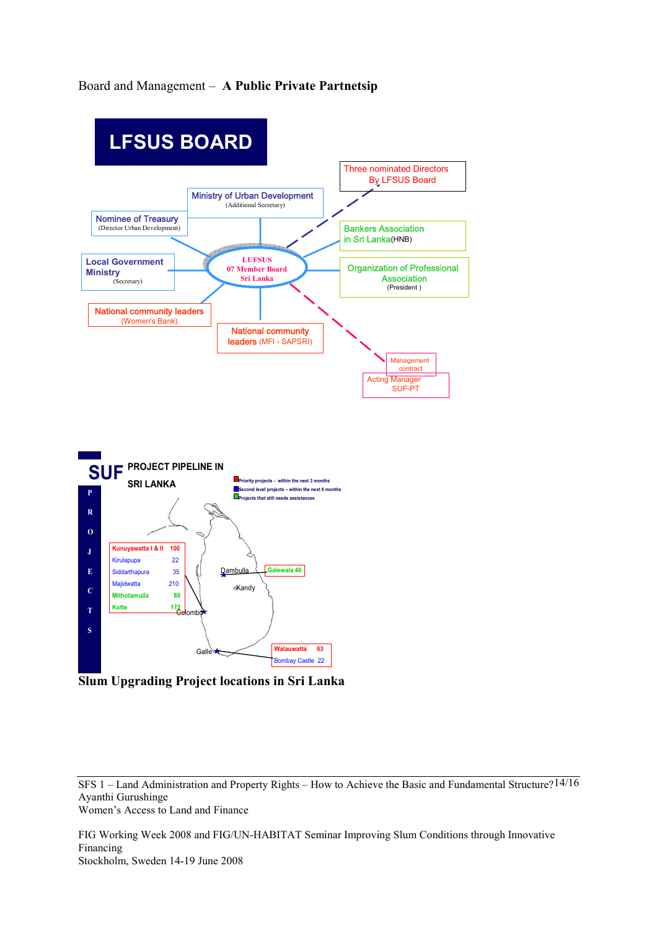## Board and Management – **A Public Private Partnetsip**



**Slum Upgrading Project locations in Sri Lanka** 

SFS 1 – Land Administration and Property Rights – How to Achieve the Basic and Fundamental Structure? 14/16 Ayanthi Gurushinge Women's Access to Land and Finance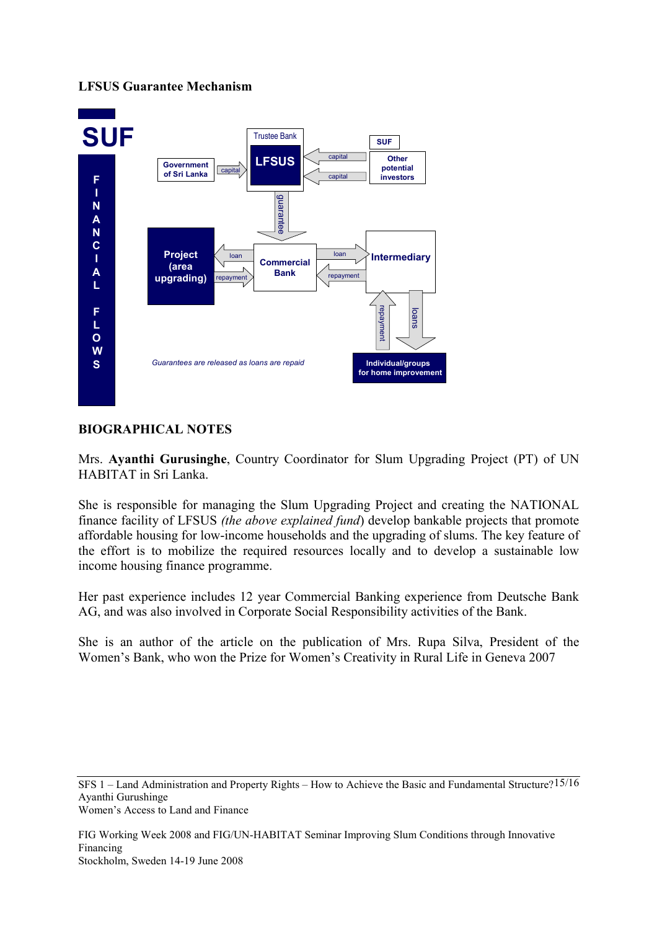# **LFSUS Guarantee Mechanism**



# **BIOGRAPHICAL NOTES**

Mrs. **Ayanthi Gurusinghe**, Country Coordinator for Slum Upgrading Project (PT) of UN HABITAT in Sri Lanka.

She is responsible for managing the Slum Upgrading Project and creating the NATIONAL finance facility of LFSUS *(the above explained fund*) develop bankable projects that promote affordable housing for low-income households and the upgrading of slums. The key feature of the effort is to mobilize the required resources locally and to develop a sustainable low income housing finance programme.

Her past experience includes 12 year Commercial Banking experience from Deutsche Bank AG, and was also involved in Corporate Social Responsibility activities of the Bank.

She is an author of the article on the publication of Mrs. Rupa Silva, President of the Women's Bank, who won the Prize for Women's Creativity in Rural Life in Geneva 2007

SFS 1 – Land Administration and Property Rights – How to Achieve the Basic and Fundamental Structure? 15/16 Ayanthi Gurushinge Women's Access to Land and Finance